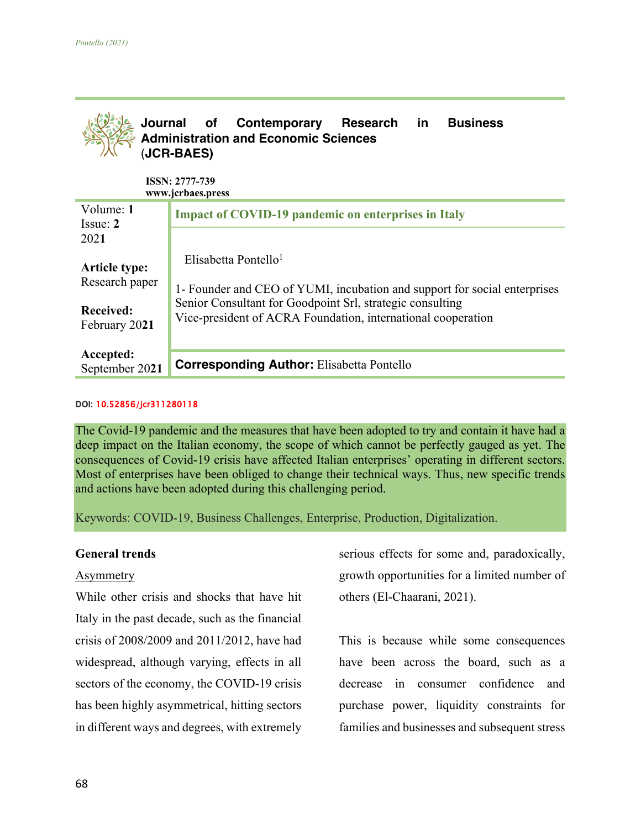

**Received:**  February 20**21**  1- Founder and CEO of YUMI, incubation and support for social enterprises Senior Consultant for Goodpoint Srl, strategic consulting Vice-president of ACRA Foundation, international cooperation

| $\mathbf{r}$ | September 2021 Corresponding Author: Elisabetta Pontello |  |
|--------------|----------------------------------------------------------|--|
|              |                                                          |  |

### DOI: 10.52856/jcr311280118

**Accepted:** 

The Covid-19 pandemic and the measures that have been adopted to try and contain it have had a deep impact on the Italian economy, the scope of which cannot be perfectly gauged as yet. The consequences of Covid-19 crisis have affected Italian enterprises' operating in different sectors. Most of enterprises have been obliged to change their technical ways. Thus, new specific trends and actions have been adopted during this challenging period.

Keywords: COVID-19, Business Challenges, Enterprise, Production, Digitalization.

### **General trends**

### **Asymmetry**

While other crisis and shocks that have hit Italy in the past decade, such as the financial crisis of 2008/2009 and 2011/2012, have had widespread, although varying, effects in all sectors of the economy, the COVID-19 crisis has been highly asymmetrical, hitting sectors in different ways and degrees, with extremely

serious effects for some and, paradoxically, growth opportunities for a limited number of others (El-Chaarani, 2021).

This is because while some consequences have been across the board, such as a decrease in consumer confidence and purchase power, liquidity constraints for families and businesses and subsequent stress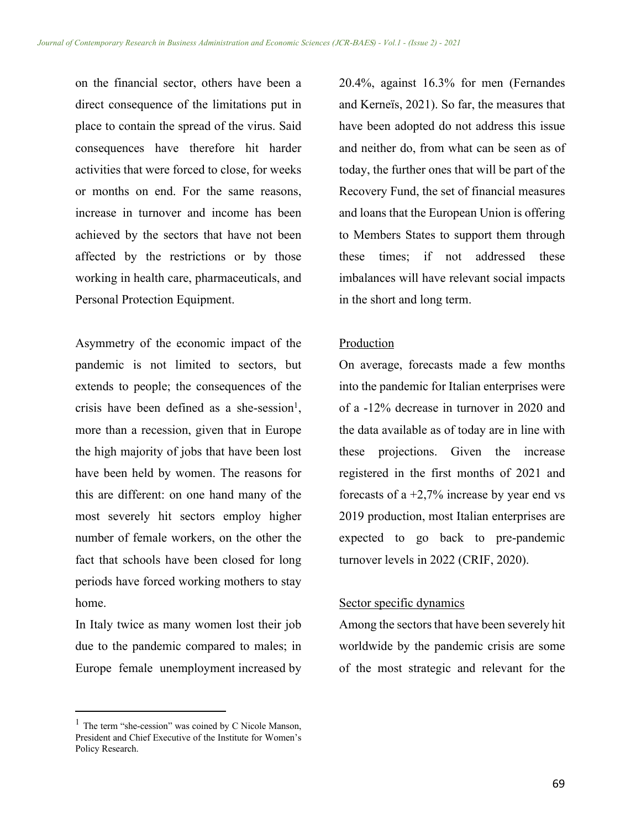on the financial sector, others have been a direct consequence of the limitations put in place to contain the spread of the virus. Said consequences have therefore hit harder activities that were forced to close, for weeks or months on end. For the same reasons, increase in turnover and income has been achieved by the sectors that have not been affected by the restrictions or by those working in health care, pharmaceuticals, and Personal Protection Equipment.

Asymmetry of the economic impact of the pandemic is not limited to sectors, but extends to people; the consequences of the crisis have been defined as a she-session<sup>1</sup>, more than a recession, given that in Europe the high majority of jobs that have been lost have been held by women. The reasons for this are different: on one hand many of the most severely hit sectors employ higher number of female workers, on the other the fact that schools have been closed for long periods have forced working mothers to stay home.

In Italy twice as many women lost their job due to the pandemic compared to males; in Europe female unemployment increased by 20.4%, against 16.3% for men (Fernandes and Kerneïs, 2021). So far, the measures that have been adopted do not address this issue and neither do, from what can be seen as of today, the further ones that will be part of the Recovery Fund, the set of financial measures and loans that the European Union is offering to Members States to support them through these times; if not addressed these imbalances will have relevant social impacts in the short and long term.

## Production

On average, forecasts made a few months into the pandemic for Italian enterprises were of a -12% decrease in turnover in 2020 and the data available as of today are in line with these projections. Given the increase registered in the first months of 2021 and forecasts of a  $+2,7\%$  increase by year end vs 2019 production, most Italian enterprises are expected to go back to pre-pandemic turnover levels in 2022 (CRIF, 2020).

### Sector specific dynamics

Among the sectors that have been severely hit worldwide by the pandemic crisis are some of the most strategic and relevant for the

 $1$  The term "she-cession" was coined by C Nicole Manson, President and Chief Executive of the Institute for Women's Policy Research.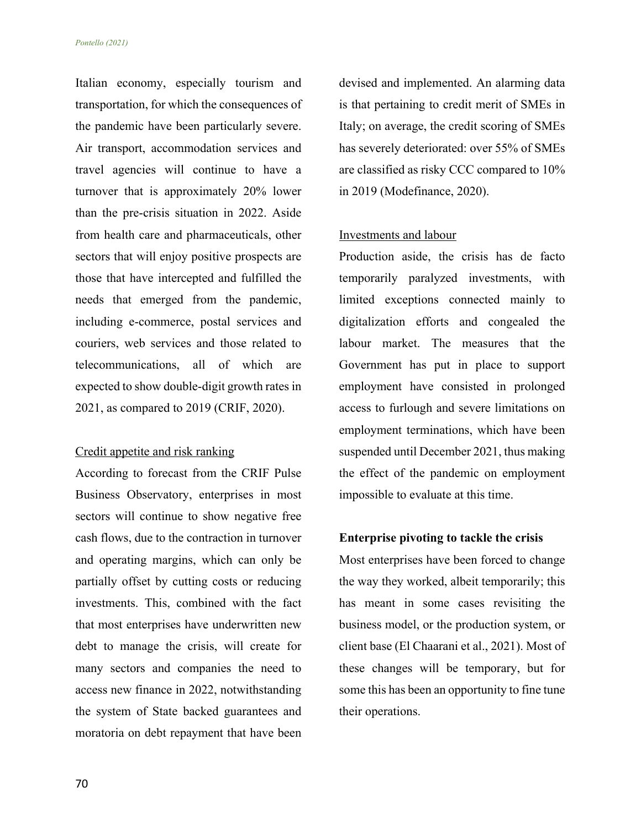Italian economy, especially tourism and transportation, for which the consequences of the pandemic have been particularly severe. Air transport, accommodation services and travel agencies will continue to have a turnover that is approximately 20% lower than the pre-crisis situation in 2022. Aside from health care and pharmaceuticals, other sectors that will enjoy positive prospects are those that have intercepted and fulfilled the needs that emerged from the pandemic, including e-commerce, postal services and couriers, web services and those related to telecommunications, all of which are expected to show double-digit growth rates in 2021, as compared to 2019 (CRIF, 2020).

## Credit appetite and risk ranking

According to forecast from the CRIF Pulse Business Observatory, enterprises in most sectors will continue to show negative free cash flows, due to the contraction in turnover and operating margins, which can only be partially offset by cutting costs or reducing investments. This, combined with the fact that most enterprises have underwritten new debt to manage the crisis, will create for many sectors and companies the need to access new finance in 2022, notwithstanding the system of State backed guarantees and moratoria on debt repayment that have been

devised and implemented. An alarming data is that pertaining to credit merit of SMEs in Italy; on average, the credit scoring of SMEs has severely deteriorated: over 55% of SMEs are classified as risky CCC compared to 10% in 2019 (Modefinance, 2020).

### Investments and labour

Production aside, the crisis has de facto temporarily paralyzed investments, with limited exceptions connected mainly to digitalization efforts and congealed the labour market. The measures that the Government has put in place to support employment have consisted in prolonged access to furlough and severe limitations on employment terminations, which have been suspended until December 2021, thus making the effect of the pandemic on employment impossible to evaluate at this time.

## **Enterprise pivoting to tackle the crisis**

Most enterprises have been forced to change the way they worked, albeit temporarily; this has meant in some cases revisiting the business model, or the production system, or client base (El Chaarani et al., 2021). Most of these changes will be temporary, but for some this has been an opportunity to fine tune their operations.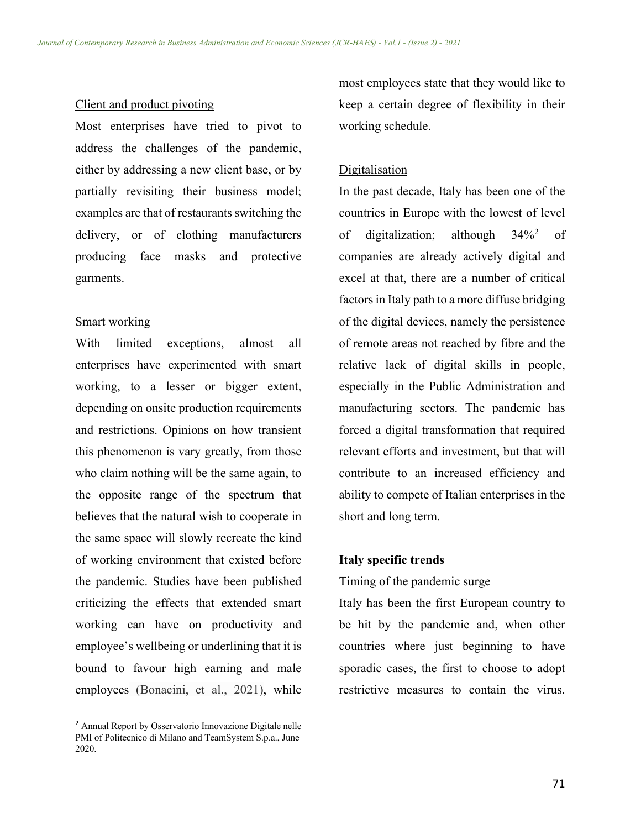#### Client and product pivoting

Most enterprises have tried to pivot to address the challenges of the pandemic, either by addressing a new client base, or by partially revisiting their business model; examples are that of restaurants switching the delivery, or of clothing manufacturers producing face masks and protective garments.

## Smart working

With limited exceptions, almost all enterprises have experimented with smart working, to a lesser or bigger extent, depending on onsite production requirements and restrictions. Opinions on how transient this phenomenon is vary greatly, from those who claim nothing will be the same again, to the opposite range of the spectrum that believes that the natural wish to cooperate in the same space will slowly recreate the kind of working environment that existed before the pandemic. Studies have been published criticizing the effects that extended smart working can have on productivity and employee's wellbeing or underlining that it is bound to favour high earning and male employees (Bonacini, et al., 2021), while

most employees state that they would like to keep a certain degree of flexibility in their working schedule.

## Digitalisation

In the past decade, Italy has been one of the countries in Europe with the lowest of level of digitalization; although 34%2 of companies are already actively digital and excel at that, there are a number of critical factors in Italy path to a more diffuse bridging of the digital devices, namely the persistence of remote areas not reached by fibre and the relative lack of digital skills in people, especially in the Public Administration and manufacturing sectors. The pandemic has forced a digital transformation that required relevant efforts and investment, but that will contribute to an increased efficiency and ability to compete of Italian enterprises in the short and long term.

## **Italy specific trends**

## Timing of the pandemic surge

Italy has been the first European country to be hit by the pandemic and, when other countries where just beginning to have sporadic cases, the first to choose to adopt restrictive measures to contain the virus.

<sup>2</sup> Annual Report by Osservatorio Innovazione Digitale nelle PMI of Politecnico di Milano and TeamSystem S.p.a., June 2020.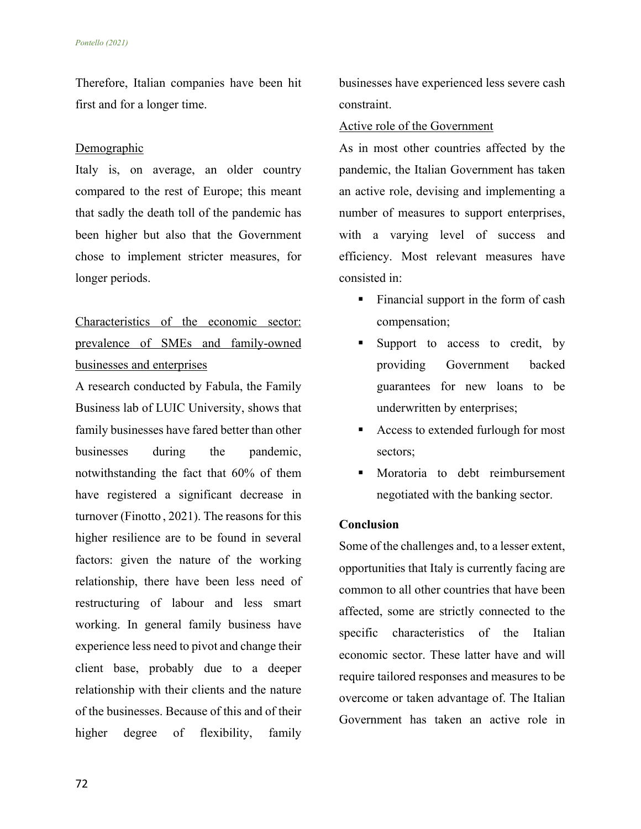Therefore, Italian companies have been hit first and for a longer time.

## Demographic

Italy is, on average, an older country compared to the rest of Europe; this meant that sadly the death toll of the pandemic has been higher but also that the Government chose to implement stricter measures, for longer periods.

# Characteristics of the economic sector: prevalence of SMEs and family-owned businesses and enterprises

A research conducted by Fabula, the Family Business lab of LUIC University, shows that family businesses have fared better than other businesses during the pandemic, notwithstanding the fact that 60% of them have registered a significant decrease in turnover (Finotto , 2021). The reasons for this higher resilience are to be found in several factors: given the nature of the working relationship, there have been less need of restructuring of labour and less smart working. In general family business have experience less need to pivot and change their client base, probably due to a deeper relationship with their clients and the nature of the businesses. Because of this and of their higher degree of flexibility, family

businesses have experienced less severe cash constraint.

# Active role of the Government

As in most other countries affected by the pandemic, the Italian Government has taken an active role, devising and implementing a number of measures to support enterprises, with a varying level of success and efficiency. Most relevant measures have consisted in:

- Financial support in the form of cash compensation;
- Support to access to credit, by providing Government backed guarantees for new loans to be underwritten by enterprises;
- § Access to extended furlough for most sectors;
- § Moratoria to debt reimbursement negotiated with the banking sector.

# **Conclusion**

Some of the challenges and, to a lesser extent, opportunities that Italy is currently facing are common to all other countries that have been affected, some are strictly connected to the specific characteristics of the Italian economic sector. These latter have and will require tailored responses and measures to be overcome or taken advantage of. The Italian Government has taken an active role in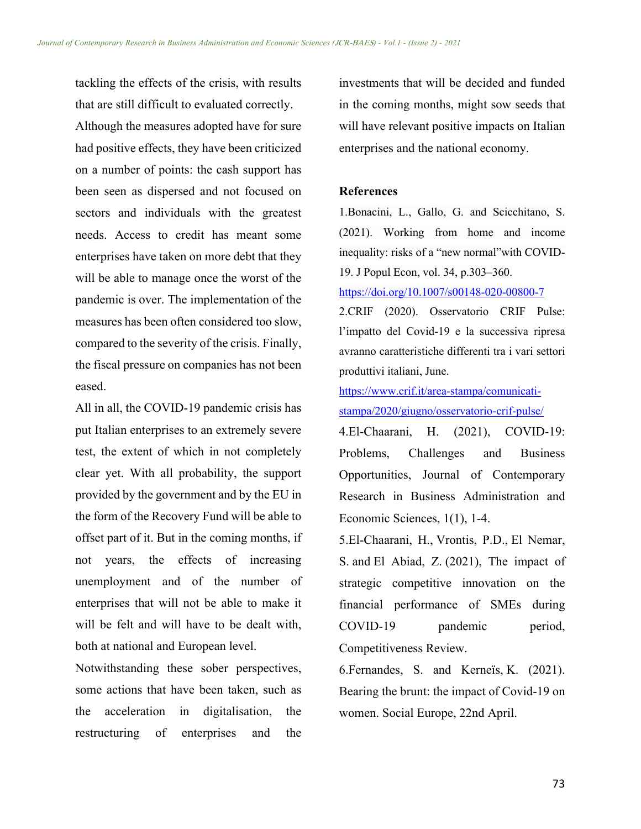tackling the effects of the crisis, with results that are still difficult to evaluated correctly. Although the measures adopted have for sure had positive effects, they have been criticized on a number of points: the cash support has been seen as dispersed and not focused on sectors and individuals with the greatest needs. Access to credit has meant some enterprises have taken on more debt that they will be able to manage once the worst of the pandemic is over. The implementation of the measures has been often considered too slow, compared to the severity of the crisis. Finally, the fiscal pressure on companies has not been eased.

All in all, the COVID-19 pandemic crisis has put Italian enterprises to an extremely severe test, the extent of which in not completely clear yet. With all probability, the support provided by the government and by the EU in the form of the Recovery Fund will be able to offset part of it. But in the coming months, if not years, the effects of increasing unemployment and of the number of enterprises that will not be able to make it will be felt and will have to be dealt with. both at national and European level.

Notwithstanding these sober perspectives, some actions that have been taken, such as the acceleration in digitalisation, the restructuring of enterprises and the

investments that will be decided and funded in the coming months, might sow seeds that will have relevant positive impacts on Italian enterprises and the national economy.

## **References**

1.Bonacini, L., Gallo, G. and Scicchitano, S. (2021). Working from home and income inequality: risks of a "new normal"with COVID-19. J Popul Econ, vol. 34, p.303–360.

https://doi.org/10.1007/s00148-020-00800-7

2.CRIF (2020). Osservatorio CRIF Pulse: l'impatto del Covid-19 e la successiva ripresa avranno caratteristiche differenti tra i vari settori produttivi italiani, June.

https://www.crif.it/area-stampa/comunicatistampa/2020/giugno/osservatorio-crif-pulse/

4.El-Chaarani, H. (2021), COVID-19: Problems, Challenges and Business Opportunities, Journal of Contemporary Research in Business Administration and Economic Sciences, 1(1), 1-4.

5.El-Chaarani, H., Vrontis, P.D., El Nemar, S. and El Abiad, Z. (2021), The impact of strategic competitive innovation on the financial performance of SMEs during COVID-19 pandemic period, Competitiveness Review.

6.Fernandes, S. and Kerneïs, K. (2021). Bearing the brunt: the impact of Covid-19 on women. Social Europe, 22nd April.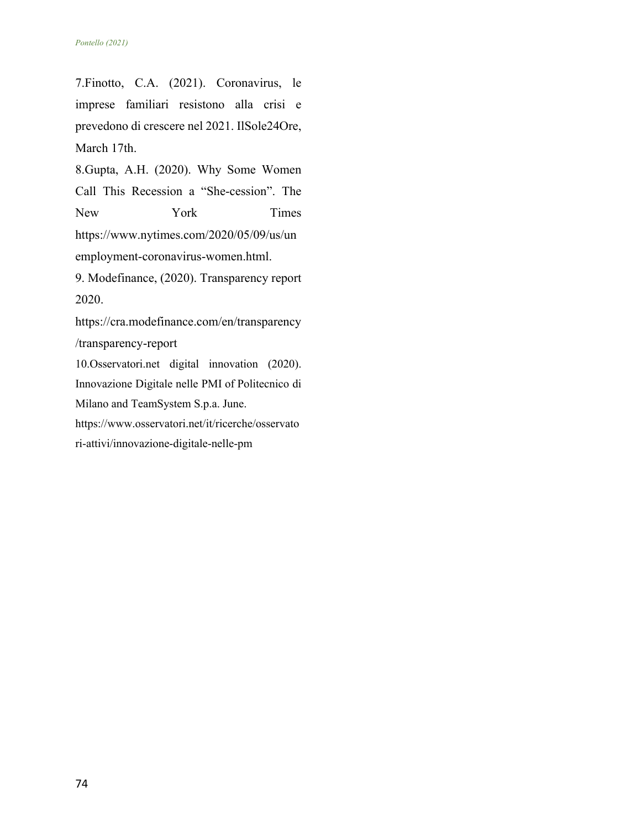7.Finotto, C.A. (2021). Coronavirus, le imprese familiari resistono alla crisi e prevedono di crescere nel 2021. IlSole24Ore, March 17th.

8.Gupta, A.H. (2020). Why Some Women Call This Recession a "She-cession". The New York Times https://www.nytimes.com/2020/05/09/us/un employment-coronavirus-women.html. 9. Modefinance, (2020). Transparency report

2020.

https://cra.modefinance.com/en/transparency /transparency-report

10.Osservatori.net digital innovation (2020). Innovazione Digitale nelle PMI of Politecnico di Milano and TeamSystem S.p.a. June.

https://www.osservatori.net/it/ricerche/osservato

ri-attivi/innovazione-digitale-nelle-pm